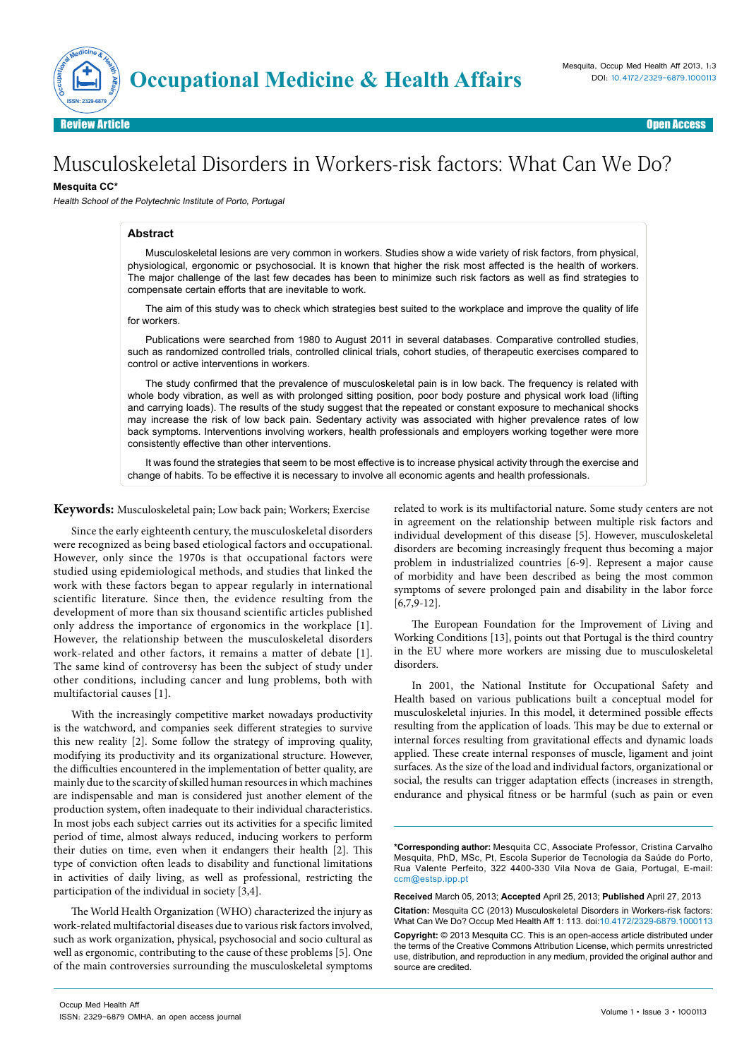

Open Access Review Article Communication of the contract of the contract of the contract of the contract of the contract of the contract of the contract of the contract of the contract of the contract of the contract of the contract o

# Musculoskeletal Disorders in Workers-risk factors: What Can We Do?

## **Mesquita CC\***

Health School of the Polytechnic Institute of Porto, Portugal

## **Abstract**

Musculoskeletal lesions are very common in workers. Studies show a wide variety of risk factors, from physical, physiological, ergonomic or psychosocial. It is known that higher the risk most affected is the health of workers. The major challenge of the last few decades has been to minimize such risk factors as well as find strategies to compensate certain efforts that are inevitable to work.

The aim of this study was to check which strategies best suited to the workplace and improve the quality of life for workers.

Publications were searched from 1980 to August 2011 in several databases. Comparative controlled studies, such as randomized controlled trials, controlled clinical trials, cohort studies, of therapeutic exercises compared to control or active interventions in workers.

The study confirmed that the prevalence of musculoskeletal pain is in low back. The frequency is related with whole body vibration, as well as with prolonged sitting position, poor body posture and physical work load (lifting and carrying loads). The results of the study suggest that the repeated or constant exposure to mechanical shocks may increase the risk of low back pain. Sedentary activity was associated with higher prevalence rates of low back symptoms. Interventions involving workers, health professionals and employers working together were more consistently effective than other interventions.

It was found the strategies that seem to be most effective is to increase physical activity through the exercise and change of habits. To be effective it is necessary to involve all economic agents and health professionals.

**Keywords:** Musculoskeletal pain; Low back pain; Workers; Exercise

Since the early eighteenth century, the musculoskeletal disorders were recognized as being based etiological factors and occupational. However, only since the 1970s is that occupational factors were studied using epidemiological methods, and studies that linked the work with these factors began to appear regularly in international scientific literature. Since then, the evidence resulting from the development of more than six thousand scientific articles published only address the importance of ergonomics in the workplace [1]. However, the relationship between the musculoskeletal disorders work-related and other factors, it remains a matter of debate [1]. The same kind of controversy has been the subject of study under other conditions, including cancer and lung problems, both with multifactorial causes [1].

With the increasingly competitive market nowadays productivity is the watchword, and companies seek different strategies to survive this new reality [2]. Some follow the strategy of improving quality, modifying its productivity and its organizational structure. However, the difficulties encountered in the implementation of better quality, are mainly due to the scarcity of skilled human resources in which machines are indispensable and man is considered just another element of the production system, often inadequate to their individual characteristics. In most jobs each subject carries out its activities for a specific limited period of time, almost always reduced, inducing workers to perform their duties on time, even when it endangers their health [2]. This type of conviction often leads to disability and functional limitations in activities of daily living, as well as professional, restricting the participation of the individual in society [3,4].

The World Health Organization (WHO) characterized the injury as work-related multifactorial diseases due to various risk factors involved, such as work organization, physical, psychosocial and socio cultural as well as ergonomic, contributing to the cause of these problems [5]. One of the main controversies surrounding the musculoskeletal symptoms

related to work is its multifactorial nature. Some study centers are not in agreement on the relationship between multiple risk factors and individual development of this disease [5]. However, musculoskeletal disorders are becoming increasingly frequent thus becoming a major problem in industrialized countries [6-9]. Represent a major cause of morbidity and have been described as being the most common symptoms of severe prolonged pain and disability in the labor force [6,7,9-12].

The European Foundation for the Improvement of Living and Working Conditions [13], points out that Portugal is the third country in the EU where more workers are missing due to musculoskeletal disorders.

In 2001, the National Institute for Occupational Safety and Health based on various publications built a conceptual model for musculoskeletal injuries. In this model, it determined possible effects resulting from the application of loads. This may be due to external or internal forces resulting from gravitational effects and dynamic loads applied. These create internal responses of muscle, ligament and joint surfaces. As the size of the load and individual factors, organizational or social, the results can trigger adaptation effects (increases in strength, endurance and physical fitness or be harmful (such as pain or even

**Received** March 05, 2013; **Accepted** April 25, 2013; **Published** April 27, 2013 **Citation:** Mesquita CC (2013) Musculoskeletal Disorders in Workers-risk factors: What Can We Do? Occup Med Health Aff 1: 113. doi:10.4172/2329-6879.1000113 **Copyright:** © 2013 Mesquita CC. This is an open-access article distributed under the terms of the Creative Commons Attribution License, which permits unrestricted use, distribution, and reproduction in any medium, provided the original author and source are credited.

**<sup>\*</sup>Corresponding author:** Mesquita CC, Associate Professor, Cristina Carvalho Mesquita, PhD, MSc, Pt, Escola Superior de Tecnologia da Saúde do Porto, Rua Valente Perfeito, 322 4400-330 Vila Nova de Gaia, Portugal, E-mail: ccm@estsp.ipp.pt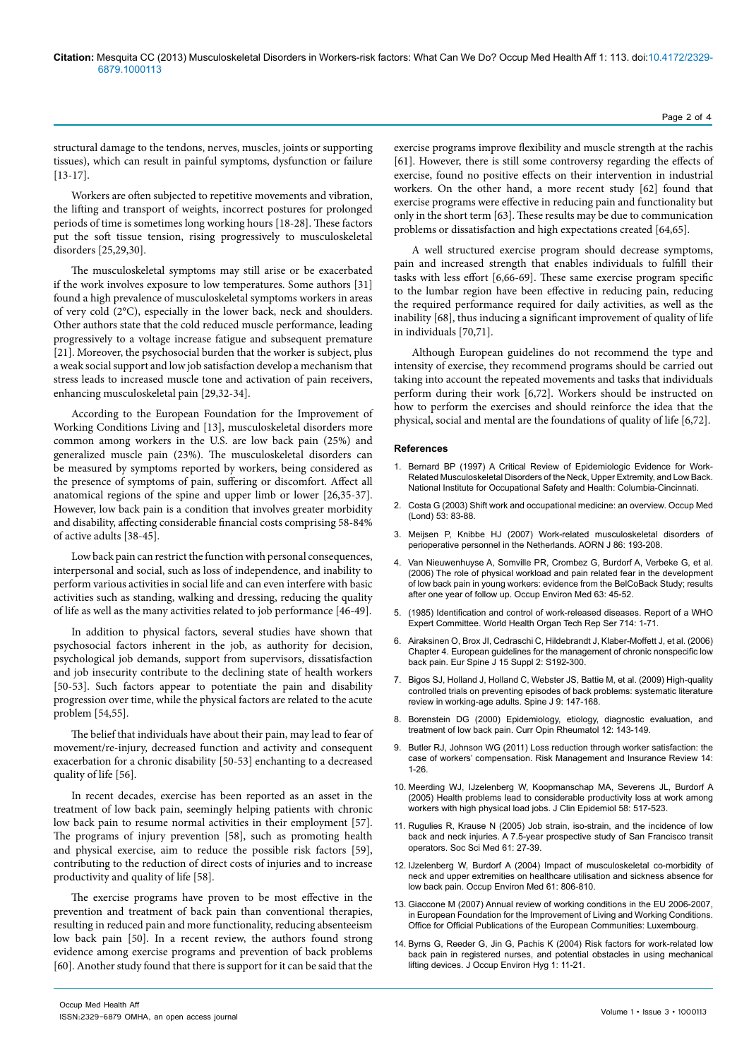structural damage to the tendons, nerves, muscles, joints or supporting tissues), which can result in painful symptoms, dysfunction or failure [13-17].

Workers are often subjected to repetitive movements and vibration, the lifting and transport of weights, incorrect postures for prolonged periods of time is sometimes long working hours [18-28]. These factors put the soft tissue tension, rising progressively to musculoskeletal disorders [25,29,30].

The musculoskeletal symptoms may still arise or be exacerbated if the work involves exposure to low temperatures. Some authors [31] found a high prevalence of musculoskeletal symptoms workers in areas of very cold (2°C), especially in the lower back, neck and shoulders. Other authors state that the cold reduced muscle performance, leading progressively to a voltage increase fatigue and subsequent premature [21]. Moreover, the psychosocial burden that the worker is subject, plus a weak social support and low job satisfaction develop a mechanism that stress leads to increased muscle tone and activation of pain receivers, enhancing musculoskeletal pain [29,32-34].

According to the European Foundation for the Improvement of Working Conditions Living and [13], musculoskeletal disorders more common among workers in the U.S. are low back pain (25%) and generalized muscle pain (23%). The musculoskeletal disorders can be measured by symptoms reported by workers, being considered as the presence of symptoms of pain, suffering or discomfort. Affect all anatomical regions of the spine and upper limb or lower [26,35-37]. However, low back pain is a condition that involves greater morbidity and disability, affecting considerable financial costs comprising 58-84% of active adults [38-45].

Low back pain can restrict the function with personal consequences, interpersonal and social, such as loss of independence, and inability to perform various activities in social life and can even interfere with basic activities such as standing, walking and dressing, reducing the quality of life as well as the many activities related to job performance [46-49].

In addition to physical factors, several studies have shown that psychosocial factors inherent in the job, as authority for decision, psychological job demands, support from supervisors, dissatisfaction and job insecurity contribute to the declining state of health workers [50-53]. Such factors appear to potentiate the pain and disability progression over time, while the physical factors are related to the acute problem [54,55].

The belief that individuals have about their pain, may lead to fear of movement/re-injury, decreased function and activity and consequent exacerbation for a chronic disability [50-53] enchanting to a decreased quality of life [56].

In recent decades, exercise has been reported as an asset in the treatment of low back pain, seemingly helping patients with chronic low back pain to resume normal activities in their employment [57]. The programs of injury prevention [58], such as promoting health and physical exercise, aim to reduce the possible risk factors [59], contributing to the reduction of direct costs of injuries and to increase productivity and quality of life [58].

The exercise programs have proven to be most effective in the prevention and treatment of back pain than conventional therapies, resulting in reduced pain and more functionality, reducing absenteeism low back pain [50]. In a recent review, the authors found strong evidence among exercise programs and prevention of back problems [60]. Another study found that there is support for it can be said that the

exercise programs improve flexibility and muscle strength at the rachis [61]. However, there is still some controversy regarding the effects of exercise, found no positive effects on their intervention in industrial workers. On the other hand, a more recent study [62] found that exercise programs were effective in reducing pain and functionality but only in the short term [63]. These results may be due to communication problems or dissatisfaction and high expectations created [64,65].

Page 2 of 4

A well structured exercise program should decrease symptoms, pain and increased strength that enables individuals to fulfill their tasks with less effort [6,66-69]. These same exercise program specific to the lumbar region have been effective in reducing pain, reducing the required performance required for daily activities, as well as the inability [68], thus inducing a significant improvement of quality of life in individuals [70,71].

Although European guidelines do not recommend the type and intensity of exercise, they recommend programs should be carried out taking into account the repeated movements and tasks that individuals perform during their work [6,72]. Workers should be instructed on how to perform the exercises and should reinforce the idea that the physical, social and mental are the foundations of quality of life [6,72].

## **References**

- 1. Bernard BP (1997) A Critical Review of Epidemiologic Evidence for Work-Related Musculoskeletal Disorders of the Neck, Upper Extremity, and Low Back. National Institute for Occupational Safety and Health: Columbia-Cincinnati.
- 2. [Costa G \(2003\) Shift work and occupational medicine: an overview. Occup Med](http://www.ncbi.nlm.nih.gov/pubmed/12637591)  [\(Lond\) 53: 83-88.](http://www.ncbi.nlm.nih.gov/pubmed/12637591)
- 3. [Meijsen P, Knibbe HJ \(2007\) Work-related musculoskeletal disorders of](http://www.ncbi.nlm.nih.gov/pubmed/17683718)  [perioperative personnel in the Netherlands. AORN J 86: 193-208.](http://www.ncbi.nlm.nih.gov/pubmed/17683718)
- 4. [Van Nieuwenhuyse A, Somville PR, Crombez G, Burdorf A, Verbeke G, et al.](http://www.ncbi.nlm.nih.gov/pubmed/16361405)  [\(2006\) The role of physical workload and pain related fear in the development](http://www.ncbi.nlm.nih.gov/pubmed/16361405)  [of low back pain in young workers: evidence from the BelCoBack Study; results](http://www.ncbi.nlm.nih.gov/pubmed/16361405)  [after one year of follow up. Occup Environ Med 63: 45-52.](http://www.ncbi.nlm.nih.gov/pubmed/16361405)
- 5. [\(1985\) Identification and control of work-released diseases. Report of a WHO](http://www.ncbi.nlm.nih.gov/pubmed/3922127)  [Expert Committee. World Health Organ Tech Rep Ser 714: 1-71.](http://www.ncbi.nlm.nih.gov/pubmed/3922127)
- 6. [Airaksinen O, Brox JI, Cedraschi C, Hildebrandt J, Klaber-Moffett J, et al. \(2006\)](http://www.ncbi.nlm.nih.gov/pubmed/16550448)  [Chapter 4. European guidelines for the management of chronic nonspecific low](http://www.ncbi.nlm.nih.gov/pubmed/16550448)  [back pain. Eur Spine J 15 Suppl 2: S192-300.](http://www.ncbi.nlm.nih.gov/pubmed/16550448)
- 7. [Bigos SJ, Holland J, Holland C, Webster JS, Battie M, et al. \(2009\) High-quality](http://www.ncbi.nlm.nih.gov/pubmed/19185272)  [controlled trials on preventing episodes of back problems: systematic literature](http://www.ncbi.nlm.nih.gov/pubmed/19185272)  [review in working-age adults. Spine J 9: 147-168.](http://www.ncbi.nlm.nih.gov/pubmed/19185272)
- 8. [Borenstein DG \(2000\) Epidemiology, etiology, diagnostic evaluation, and](http://www.ncbi.nlm.nih.gov/pubmed/10751017)  [treatment of low back pain. Curr Opin Rheumatol 12: 143-149.](http://www.ncbi.nlm.nih.gov/pubmed/10751017)
- 9. [Butler RJ, Johnson WG \(2011\) Loss reduction through worker satisfaction: the](http://onlinelibrary.wiley.com/doi/10.1111/j.1540-6296.2010.01188.x/abstract)  [case of workers' compensation. Risk Management and Insurance Review 14:](http://onlinelibrary.wiley.com/doi/10.1111/j.1540-6296.2010.01188.x/abstract)  [1-26.](http://onlinelibrary.wiley.com/doi/10.1111/j.1540-6296.2010.01188.x/abstract)
- 10. [Meerding WJ, IJzelenberg W, Koopmanschap MA, Severens JL, Burdorf A](http://www.ncbi.nlm.nih.gov/pubmed/15845339)  [\(2005\) Health problems lead to considerable productivity loss at work among](http://www.ncbi.nlm.nih.gov/pubmed/15845339)  [workers with high physical load jobs. J Clin Epidemiol 58: 517-523.](http://www.ncbi.nlm.nih.gov/pubmed/15845339)
- 11. [Rugulies R, Krause N \(2005\) Job strain, iso-strain, and the incidence of low](http://www.ncbi.nlm.nih.gov/pubmed/15847959)  [back and neck injuries. A 7.5-year prospective study of San Francisco transit](http://www.ncbi.nlm.nih.gov/pubmed/15847959)  [operators. Soc Sci Med 61: 27-39.](http://www.ncbi.nlm.nih.gov/pubmed/15847959)
- 12. [IJzelenberg W, Burdorf A \(2004\) Impact of musculoskeletal co-morbidity of](http://www.ncbi.nlm.nih.gov/pubmed/15377765)  [neck and upper extremities on healthcare utilisation and sickness absence for](http://www.ncbi.nlm.nih.gov/pubmed/15377765)  [low back pain. Occup Environ Med 61: 806-810.](http://www.ncbi.nlm.nih.gov/pubmed/15377765)
- 13. Giaccone M (2007) Annual review of working conditions in the EU 2006-2007, in European Foundation for the Improvement of Living and Working Conditions. Office for Official Publications of the European Communities: Luxembourg.
- 14. [Byrns G, Reeder G, Jin G, Pachis K \(2004\) Risk factors for work-related low](http://www.ncbi.nlm.nih.gov/pubmed/15202152)  [back pain in registered nurses, and potential obstacles in using mechanical](http://www.ncbi.nlm.nih.gov/pubmed/15202152)  [lifting devices. J Occup Environ Hyg 1: 11-21.](http://www.ncbi.nlm.nih.gov/pubmed/15202152)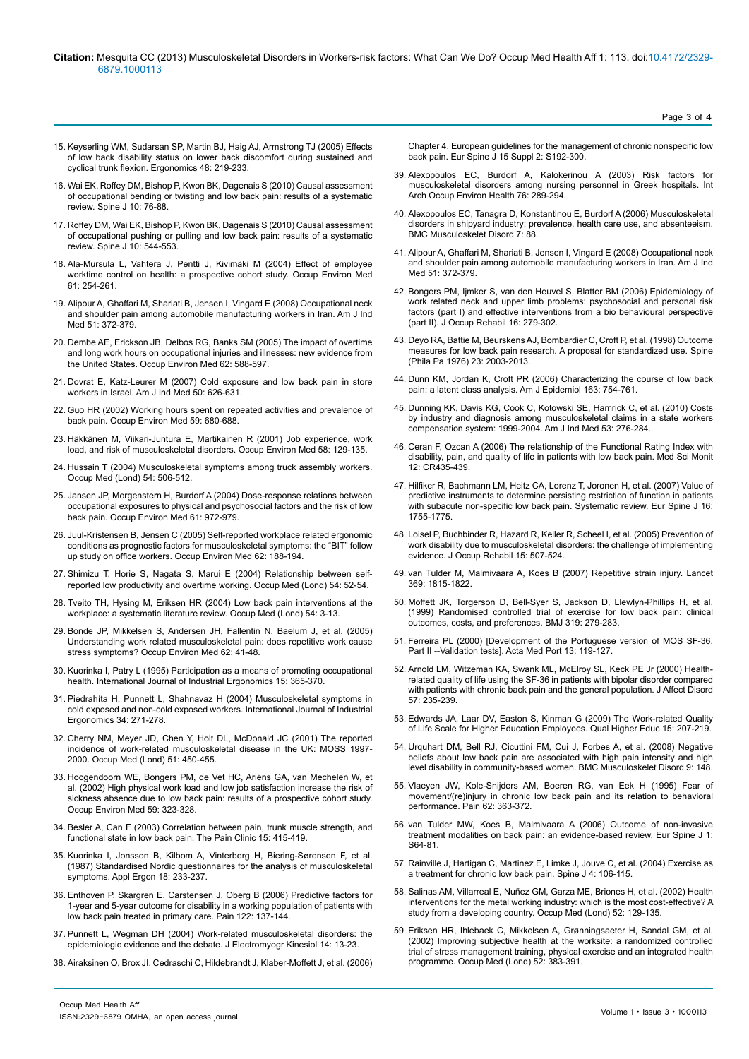#### **Citation:** Mesquita CC (2013) Musculoskeletal Disorders in Workers-risk factors: What Can We Do? Occup Med Health Aff 1: 113. doi:10.4172/2329- 6879.1000113

- 15. [Keyserling WM, Sudarsan SP, Martin BJ, Haig AJ, Armstrong TJ \(2005\) Effects](http://www.ncbi.nlm.nih.gov/pubmed/15764323) [of low back disability status on lower back discomfort during sustained and](http://www.ncbi.nlm.nih.gov/pubmed/15764323) [cyclical trunk flexion. Ergonomics 48: 219-233.](http://www.ncbi.nlm.nih.gov/pubmed/15764323)
- 16. [Wai EK, Roffey DM, Bishop P, Kwon BK, Dagenais S \(2010\) Causal assessment](http://www.ncbi.nlm.nih.gov/pubmed/19631589) [of occupational bending or twisting and low back pain: results of a systematic](http://www.ncbi.nlm.nih.gov/pubmed/19631589) [review. Spine J 10: 76-88.](http://www.ncbi.nlm.nih.gov/pubmed/19631589)
- 17. [Roffey DM, Wai EK, Bishop P, Kwon BK, Dagenais S \(2010\) Causal assessment](http://www.ncbi.nlm.nih.gov/pubmed/20494815) [of occupational pushing or pulling and low back pain: results of a systematic](http://www.ncbi.nlm.nih.gov/pubmed/20494815) [review. Spine J 10: 544-553.](http://www.ncbi.nlm.nih.gov/pubmed/20494815)
- 18. [Ala-Mursula L, Vahtera J, Pentti J, Kivimäki M \(2004\) Effect of employee](http://www.ncbi.nlm.nih.gov/pubmed/14985521) [worktime control on health: a prospective cohort study. Occup Environ Med](http://www.ncbi.nlm.nih.gov/pubmed/14985521) [61: 254-261.](http://www.ncbi.nlm.nih.gov/pubmed/14985521)
- 19. [Alipour A, Ghaffari M, Shariati B, Jensen I, Vingard E \(2008\) Occupational neck](http://www.ncbi.nlm.nih.gov/pubmed/18302140) [and shoulder pain among automobile manufacturing workers in Iran. Am J Ind](http://www.ncbi.nlm.nih.gov/pubmed/18302140) [Med 51: 372-379.](http://www.ncbi.nlm.nih.gov/pubmed/18302140)
- 20. [Dembe AE, Erickson JB, Delbos RG, Banks SM \(2005\) The impact of overtime](http://www.ncbi.nlm.nih.gov/pubmed/16109814) [and long work hours on occupational injuries and illnesses: new evidence from](http://www.ncbi.nlm.nih.gov/pubmed/16109814) [the United States. Occup Environ Med 62: 588-597.](http://www.ncbi.nlm.nih.gov/pubmed/16109814)
- 21. [Dovrat E, Katz-Leurer M \(2007\) Cold exposure and low back pain in store](http://www.ncbi.nlm.nih.gov/pubmed/17595006) [workers in Israel. Am J Ind Med 50: 626-631.](http://www.ncbi.nlm.nih.gov/pubmed/17595006)
- 22. [Guo HR \(2002\) Working hours spent on repeated activities and prevalence of](http://www.ncbi.nlm.nih.gov/pubmed/12356929) [back pain. Occup Environ Med 59: 680-688.](http://www.ncbi.nlm.nih.gov/pubmed/12356929)
- 23. [Häkkänen M, Viikari-Juntura E, Martikainen R \(2001\) Job experience, work](http://www.ncbi.nlm.nih.gov/pubmed/11160992) [load, and risk of musculoskeletal disorders. Occup Environ Med 58: 129-135.](http://www.ncbi.nlm.nih.gov/pubmed/11160992)
- 24. [Hussain T \(2004\) Musculoskeletal symptoms among truck assembly workers.](http://www.ncbi.nlm.nih.gov/pubmed/15377753) [Occup Med \(Lond\) 54: 506-512.](http://www.ncbi.nlm.nih.gov/pubmed/15377753)
- 25. [Jansen JP, Morgenstern H, Burdorf A \(2004\) Dose-response relations between](http://www.ncbi.nlm.nih.gov/pubmed/15550602) [occupational exposures to physical and psychosocial factors and the risk of low](http://www.ncbi.nlm.nih.gov/pubmed/15550602) [back pain. Occup Environ Med 61: 972-979.](http://www.ncbi.nlm.nih.gov/pubmed/15550602)
- 26. [Juul-Kristensen B, Jensen C \(2005\) Self-reported workplace related ergonomic](http://www.ncbi.nlm.nih.gov/pubmed/15723884) [conditions as prognostic factors for musculoskeletal symptoms: the "BIT" follow](http://www.ncbi.nlm.nih.gov/pubmed/15723884) [up study on office workers. Occup Environ Med 62: 188-194.](http://www.ncbi.nlm.nih.gov/pubmed/15723884)
- 27. [Shimizu T, Horie S, Nagata S, Marui E \(2004\) Relationship between self](http://www.ncbi.nlm.nih.gov/pubmed/14963255)[reported low productivity and overtime working. Occup Med \(Lond\) 54: 52-54.](http://www.ncbi.nlm.nih.gov/pubmed/14963255)
- 28. [Tveito TH, Hysing M, Eriksen HR \(2004\) Low back pain interventions at the](http://www.ncbi.nlm.nih.gov/pubmed/14963248) [workplace: a systematic literature review. Occup Med \(Lond\) 54: 3-13.](http://www.ncbi.nlm.nih.gov/pubmed/14963248)
- 29. [Bonde JP, Mikkelsen S, Andersen JH, Fallentin N, Baelum J, et al. \(2005\)](http://www.ncbi.nlm.nih.gov/pubmed/15613607) [Understanding work related musculoskeletal pain: does repetitive work cause](http://www.ncbi.nlm.nih.gov/pubmed/15613607) [stress symptoms? Occup Environ Med 62: 41-48.](http://www.ncbi.nlm.nih.gov/pubmed/15613607)
- 30. [Kuorinka I, Patry L \(1995\) Participation as a means of promoting occupational](http://www.sciencedirect.com/science/article/pii/016981419400083F) [health. International Journal of Industrial Ergonomics 15: 365-370.](http://www.sciencedirect.com/science/article/pii/016981419400083F)
- 31. [Piedrahíta H, Punnett L, Shahnavaz H \(2004\) Musculoskeletal symptoms in](http://www.udea.edu.co/portal/page/portal/bibliotecaSedesDependencias/unidadesAcademicas/FacultadNacionalSaludPublica/Diseno/archivos/Tab5/Musculoskeletal symptoms in cold exposed and non_cold ex.pdf) [cold exposed and non-cold exposed workers. International Journal of Industrial](http://www.udea.edu.co/portal/page/portal/bibliotecaSedesDependencias/unidadesAcademicas/FacultadNacionalSaludPublica/Diseno/archivos/Tab5/Musculoskeletal symptoms in cold exposed and non_cold ex.pdf) [Ergonomics 34: 271-278.](http://www.udea.edu.co/portal/page/portal/bibliotecaSedesDependencias/unidadesAcademicas/FacultadNacionalSaludPublica/Diseno/archivos/Tab5/Musculoskeletal symptoms in cold exposed and non_cold ex.pdf)
- 32. [Cherry NM, Meyer JD, Chen Y, Holt DL, McDonald JC \(2001\) The reported](http://www.ncbi.nlm.nih.gov/pubmed/11719615) [incidence of work-related musculoskeletal disease in the UK: MOSS 1997-](http://www.ncbi.nlm.nih.gov/pubmed/11719615) [2000. Occup Med \(Lond\) 51: 450-455.](http://www.ncbi.nlm.nih.gov/pubmed/11719615)
- 33. [Hoogendoorn WE, Bongers PM, de Vet HC, Ariëns GA, van Mechelen W, et](http://www.ncbi.nlm.nih.gov/pubmed/11983847) [al. \(2002\) High physical work load and low job satisfaction increase the risk of](http://www.ncbi.nlm.nih.gov/pubmed/11983847) [sickness absence due to low back pain: results of a prospective cohort study.](http://www.ncbi.nlm.nih.gov/pubmed/11983847) [Occup Environ Med 59: 323-328.](http://www.ncbi.nlm.nih.gov/pubmed/11983847)
- 34. [Besler A, Can F \(2003\) Correlation between pain, trunk muscle strength, and](http://www.ingentaconnect.com/content/maney/tpc/2003/00000015/00000004/art00011?crawler=true) [functional state in low back pain. The Pain Clinic 15: 415-419.](http://www.ingentaconnect.com/content/maney/tpc/2003/00000015/00000004/art00011?crawler=true)
- 35. [Kuorinka I, Jonsson B, Kilbom A, Vinterberg H, Biering-Sørensen F, et al.](http://www.ncbi.nlm.nih.gov/pubmed/15676628) [\(1987\) Standardised Nordic questionnaires for the analysis of musculoskeletal](http://www.ncbi.nlm.nih.gov/pubmed/15676628) [symptoms. Appl Ergon 18: 233-237.](http://www.ncbi.nlm.nih.gov/pubmed/15676628)
- 36. [Enthoven P, Skargren E, Carstensen J, Oberg B \(2006\) Predictive factors for](http://www.ncbi.nlm.nih.gov/pubmed/16527402) [1-year and 5-year outcome for disability in a working population of patients with](http://www.ncbi.nlm.nih.gov/pubmed/16527402) [low back pain treated in primary care. Pain 122: 137-144.](http://www.ncbi.nlm.nih.gov/pubmed/16527402)
- 37. [Punnett L, Wegman DH \(2004\) Work-related musculoskeletal disorders: the](http://www.ncbi.nlm.nih.gov/pubmed/14759746) [epidemiologic evidence and the debate. J Electromyogr Kinesiol 14: 13-23.](http://www.ncbi.nlm.nih.gov/pubmed/14759746)
- 38. [Airaksinen O, Brox JI, Cedraschi C, Hildebrandt J, Klaber-Moffett J, et al. \(2006\)](http://www.ncbi.nlm.nih.gov/pubmed/16550448)

[Chapter 4. European guidelines for the management of chronic nonsp](http://www.ncbi.nlm.nih.gov/pubmed/16550448)ecific low [back pain. Eur Spine J 15 Suppl 2: S192-300.](http://www.ncbi.nlm.nih.gov/pubmed/16550448)

- 39. [Alexopoulos EC, Burdorf A, Kalokerinou A \(2003\) Risk factors for](http://www.ncbi.nlm.nih.gov/pubmed/12739172)  [musculoskeletal disorders among nursing personnel in Greek hospitals. Int](http://www.ncbi.nlm.nih.gov/pubmed/12739172)  [Arch Occup Environ Health 76: 289-294.](http://www.ncbi.nlm.nih.gov/pubmed/12739172)
- 40. [Alexopoulos EC, Tanagra D, Konstantinou E, Burdorf A \(2006\) Musculoskeletal](http://www.ncbi.nlm.nih.gov/pubmed/17125504)  [disorders in shipyard industry: prevalence, health care use, and absenteeism.](http://www.ncbi.nlm.nih.gov/pubmed/17125504)  [BMC Musculoskelet Disord 7: 88.](http://www.ncbi.nlm.nih.gov/pubmed/17125504)
- 41. [Alipour A, Ghaffari M, Shariati B, Jensen I, Vingard E \(2008\) Occupational neck](http://www.ncbi.nlm.nih.gov/pubmed/18302140)  [and shoulder pain among automobile manufacturing workers in Iran. Am J Ind](http://www.ncbi.nlm.nih.gov/pubmed/18302140)  [Med 51: 372-379.](http://www.ncbi.nlm.nih.gov/pubmed/18302140)
- 42. [Bongers PM, Ijmker S, van den Heuvel S, Blatter BM \(2006\) Epidemiology of](http://www.ncbi.nlm.nih.gov/pubmed/16850279)  [work related neck and upper limb problems: psychosocial and personal risk](http://www.ncbi.nlm.nih.gov/pubmed/16850279)  [factors \(part I\) and effective interventions from a bio behavioural perspective](http://www.ncbi.nlm.nih.gov/pubmed/16850279)  [\(part II\). J Occup Rehabil 16: 279-302.](http://www.ncbi.nlm.nih.gov/pubmed/16850279)
- 43. [Deyo RA, Battie M, Beurskens AJ, Bombardier C, Croft P, et al. \(1998\) Outcome](http://www.ncbi.nlm.nih.gov/pubmed/9779535)  [measures for low back pain research. A proposal for standardized use. Spine](http://www.ncbi.nlm.nih.gov/pubmed/9779535)  [\(Phila Pa 1976\) 23: 2003-2013.](http://www.ncbi.nlm.nih.gov/pubmed/9779535)
- 44. [Dunn KM, Jordan K, Croft PR \(2006\) Characterizing the course of low back](http://www.ncbi.nlm.nih.gov/pubmed/16495468)  [pain: a latent class analysis. Am J Epidemiol 163: 754-761.](http://www.ncbi.nlm.nih.gov/pubmed/16495468)
- 45. [Dunning KK, Davis KG, Cook C, Kotowski SE, Hamrick C, et al. \(2010\) Costs](http://www.ncbi.nlm.nih.gov/pubmed/19937981)  [by industry and diagnosis among musculoskeletal claims in a state workers](http://www.ncbi.nlm.nih.gov/pubmed/19937981)  [compensation system: 1999-2004. Am J Ind Med 53: 276-284.](http://www.ncbi.nlm.nih.gov/pubmed/19937981)
- 46. [Ceran F, Ozcan A \(2006\) The relationship of the Functional Rating Index with](http://www.ncbi.nlm.nih.gov/pubmed/17006404)  [disability, pain, and quality of life in patients with low back pain. Med Sci Monit](http://www.ncbi.nlm.nih.gov/pubmed/17006404)  [12: CR435-439.](http://www.ncbi.nlm.nih.gov/pubmed/17006404)
- 47. [Hilfiker R, Bachmann LM, Heitz CA, Lorenz T, Joronen H, et al. \(2007\) Value of](http://www.ncbi.nlm.nih.gov/pubmed/17701230)  [predictive instruments to determine persisting restriction of function in patients](http://www.ncbi.nlm.nih.gov/pubmed/17701230)  with subacute non-specific low back pain. Systematic review. Eur Spine J 16: [1755-1775.](http://www.ncbi.nlm.nih.gov/pubmed/17701230)
- 48. [Loisel P, Buchbinder R, Hazard R, Keller R, Scheel I, et al. \(2005\) Prevention of](http://www.ncbi.nlm.nih.gov/pubmed/16254752)  [work disability due to musculoskeletal disorders: the challenge of implementing](http://www.ncbi.nlm.nih.gov/pubmed/16254752)  [evidence. J Occup Rehabil 15: 507-524.](http://www.ncbi.nlm.nih.gov/pubmed/16254752)
- 49. [van Tulder M, Malmivaara A, Koes B \(2007\) Repetitive strain injury. Lancet](http://www.ncbi.nlm.nih.gov/pubmed/17531890)  [369: 1815-1822.](http://www.ncbi.nlm.nih.gov/pubmed/17531890)
- 50. [Moffett JK, Torgerson D, Bell-Syer S, Jackson D, Llewlyn-Phillips H, et al.](http://www.ncbi.nlm.nih.gov/pubmed/10426734)  [\(1999\) Randomised controlled trial of exercise for low back pain: clinical](http://www.ncbi.nlm.nih.gov/pubmed/10426734)  [outcomes, costs, and preferences. BMJ 319: 279-283.](http://www.ncbi.nlm.nih.gov/pubmed/10426734)
- 51. [Ferreira PL \(2000\) \[Development of the Portuguese version of MOS SF-36.](http://www.ncbi.nlm.nih.gov/pubmed/11026151)  [Part II --Validation tests\]. Acta Med Port 13: 119-127.](http://www.ncbi.nlm.nih.gov/pubmed/11026151)
- 52. [Arnold LM, Witzeman KA, Swank ML, McElroy SL, Keck PE Jr \(2000\) Health](http://www.ncbi.nlm.nih.gov/pubmed/10708837)[related quality of life using the SF-36 in patients with bipolar disorder compared](http://www.ncbi.nlm.nih.gov/pubmed/10708837)  [with patients with chronic back pain and the general population. J Affect Disord](http://www.ncbi.nlm.nih.gov/pubmed/10708837)  [57: 235-239.](http://www.ncbi.nlm.nih.gov/pubmed/10708837)
- 53. [Edwards JA, Laar DV, Easton S, Kinman G \(2009\) The Work-related Quality](http://www.tandfonline.com/doi/abs/10.1080/13538320903343057)  [of Life Scale for Higher Education Employees. Qual Higher Educ 15: 207-219.](http://www.tandfonline.com/doi/abs/10.1080/13538320903343057)
- 54. [Urquhart DM, Bell RJ, Cicuttini FM, Cui J, Forbes A, et al. \(2008\) Negative](http://www.ncbi.nlm.nih.gov/pubmed/18983681)  [beliefs about low back pain are associated with high pain intensity and high](http://www.ncbi.nlm.nih.gov/pubmed/18983681)  [level disability in community-based women. BMC Musculoskelet Disord 9: 148.](http://www.ncbi.nlm.nih.gov/pubmed/18983681)
- 55. [Vlaeyen JW, Kole-Snijders AM, Boeren RG, van Eek H \(1995\) Fear of](http://www.ncbi.nlm.nih.gov/pubmed/8657437)  [movement/\(re\)injury in chronic low back pain and its relation to behavioral](http://www.ncbi.nlm.nih.gov/pubmed/8657437)  [performance. Pain 62: 363-372.](http://www.ncbi.nlm.nih.gov/pubmed/8657437)
- 56. [van Tulder MW, Koes B, Malmivaara A \(2006\) Outcome of non-invasive](http://www.ncbi.nlm.nih.gov/pubmed/16320031)  [treatment modalities on back pain: an evidence-based review. Eur Spine J 1:](http://www.ncbi.nlm.nih.gov/pubmed/16320031)  [S64-81.](http://www.ncbi.nlm.nih.gov/pubmed/16320031)
- 57. [Rainville J, Hartigan C, Martinez E, Limke J, Jouve C, et al. \(2004\) Exercise as](http://www.ncbi.nlm.nih.gov/pubmed/14749199)  [a treatment for chronic low back pain. Spine J 4: 106-115.](http://www.ncbi.nlm.nih.gov/pubmed/14749199)
- 58. [Salinas AM, Villarreal E, Nuñez GM, Garza ME, Briones H, et al. \(2002\) Health](http://www.ncbi.nlm.nih.gov/pubmed/12063358)  [interventions for the metal working industry: which is the most cost-effective? A](http://www.ncbi.nlm.nih.gov/pubmed/12063358)  [study from a developing country. Occup Med \(Lond\) 52: 129-135.](http://www.ncbi.nlm.nih.gov/pubmed/12063358)
- 59. [Eriksen HR, Ihlebaek C, Mikkelsen A, Grønningsaeter H, Sandal GM, et al.](http://www.ncbi.nlm.nih.gov/pubmed/12422025)  [\(2002\) Improving subjective health at the worksite: a randomized controlled](http://www.ncbi.nlm.nih.gov/pubmed/12422025)  [trial of stress management training, physical exercise and an integrated health](http://www.ncbi.nlm.nih.gov/pubmed/12422025)  [programme. Occup Med \(Lond\) 52: 383-391.](http://www.ncbi.nlm.nih.gov/pubmed/12422025)